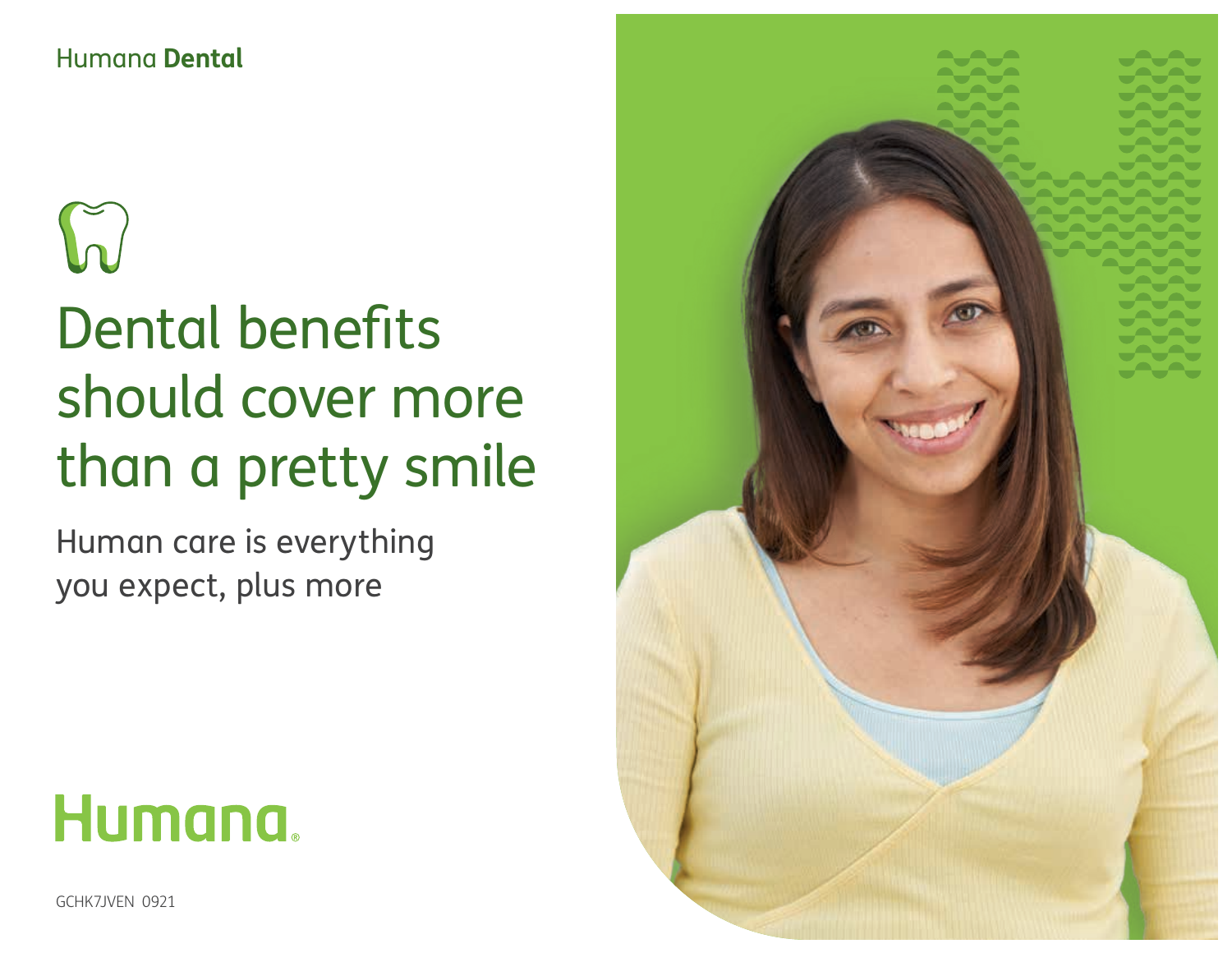## Humana **Dental**

# $\int_{\mathcal{U}}$

## Dental benefits should cover more than a pretty smile

Human care is everything you expect, plus more



GCHK7JVEN 0921

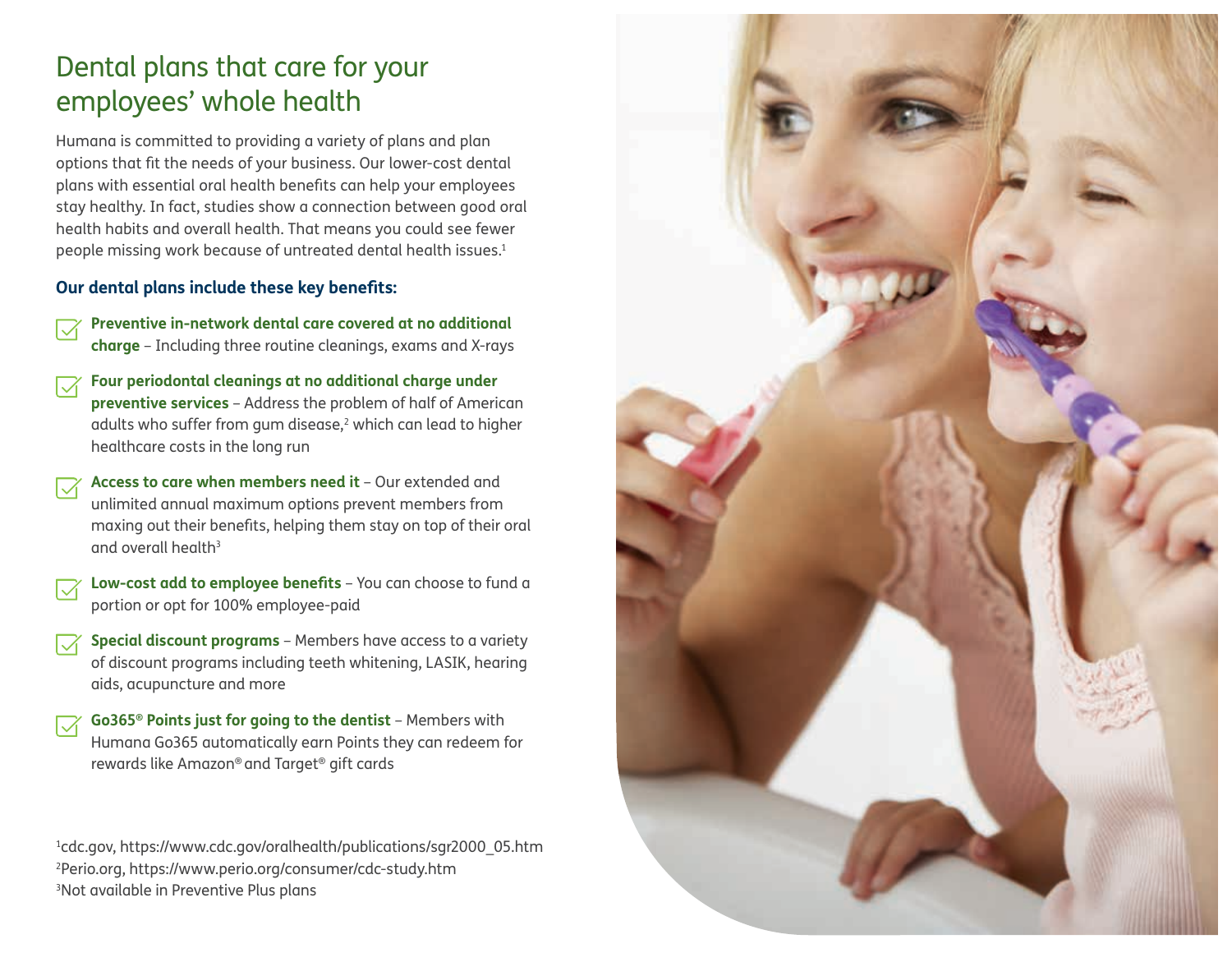## Dental plans that care for your employees' whole health

Humana is committed to providing a variety of plans and plan options that fit the needs of your business. Our lower-cost dental plans with essential oral health benefits can help your employees stay healthy. In fact, studies show a connection between good oral health habits and overall health. That means you could see fewer people missing work because of untreated dental health issues.<sup>1</sup>

#### **Our dental plans include these key benefits:**

- **Preventive in-network dental care covered at no additional charge** – Including three routine cleanings, exams and X-rays
- **Four periodontal cleanings at no additional charge under preventive services** – Address the problem of half of American adults who suffer from gum disease, $^2$  which can lead to higher healthcare costs in the long run
- **Access to care when members need it**  Our extended and unlimited annual maximum options prevent members from maxing out their benefits, helping them stay on top of their oral and overall health<sup>3</sup>
- **Low-cost add to employee benefits** You can choose to fund a portion or opt for 100% employee-paid
- **Special discount programs** Members have access to a variety of discount programs including teeth whitening, LASIK, hearing aids, acupuncture and more
- **Go365® Points just for going to the dentist**  Members with Humana Go365 automatically earn Points they can redeem for rewards like Amazon® and Target® gift cards

1 cdc.gov, https://www.cdc.gov/oralhealth/publications/sgr2000\_05.htm 2 Perio.org, https://www.perio.org/consumer/cdc-study.htm 3 Not available in Preventive Plus plans

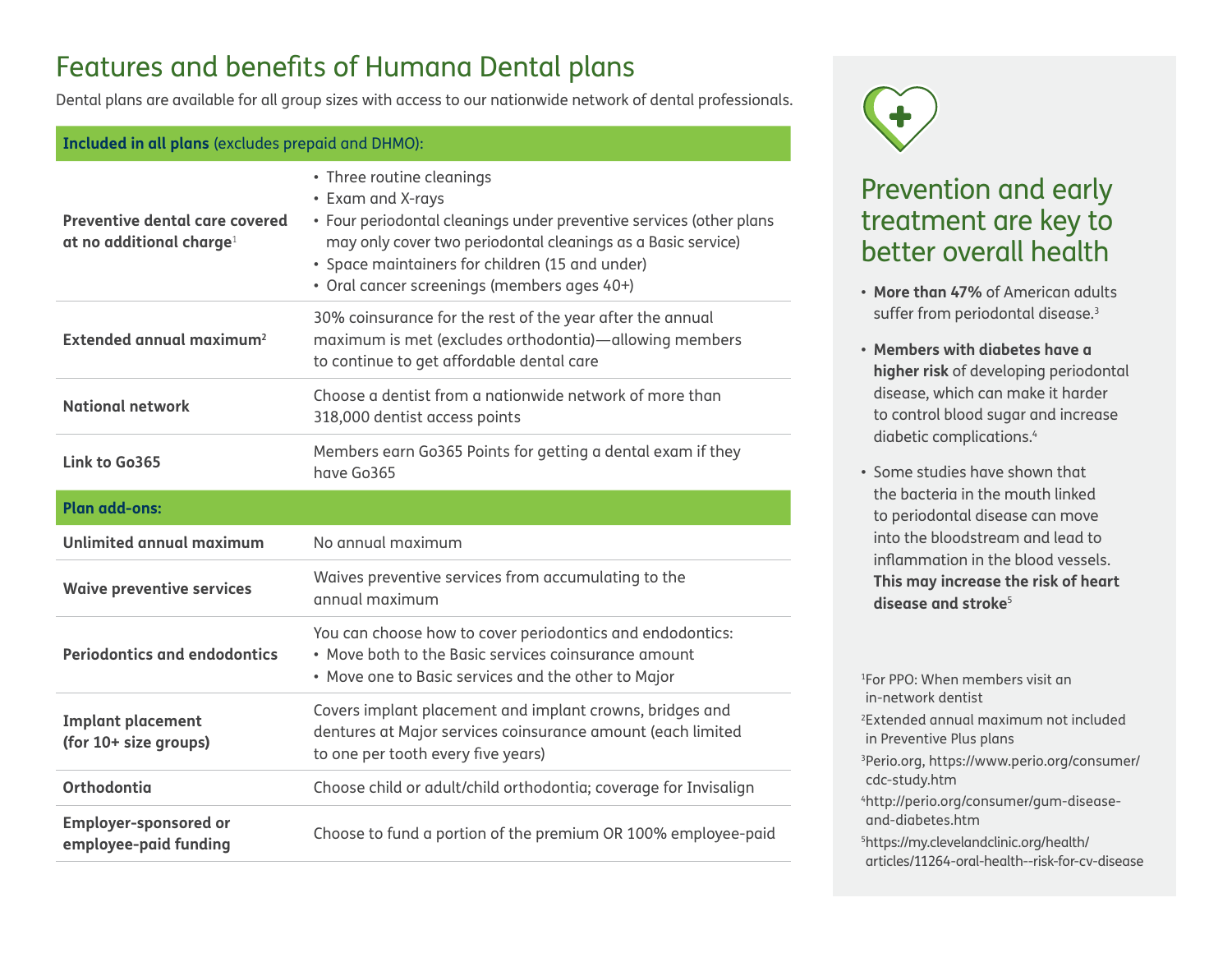## Features and benefits of Humana Dental plans

Dental plans are available for all group sizes with access to our nationwide network of dental professionals.

#### **Included in all plans** (excludes prepaid and DHMO): **Preventive dental care covered at no additional charge**<sup>1</sup> • Three routine cleanings • Exam and X-rays • Four periodontal cleanings under preventive services (other plans may only cover two periodontal cleanings as a Basic service) • Space maintainers for children (15 and under) • Oral cancer screenings (members ages 40+) **Extended annual maximum2** 30% coinsurance for the rest of the year after the annual maximum is met (excludes orthodontia)—allowing members to continue to get affordable dental care **National network** Choose a dentist from a nationwide network of more than 318,000 dentist access points **Link to Go365** Members earn Go365 Points for getting a dental exam if they have Go365 **Plan add-ons: Unlimited annual maximum** No annual maximum **Waive preventive services** Waives preventive services from accumulating to the annual maximum **Periodontics and endodontics** You can choose how to cover periodontics and endodontics: • Move both to the Basic services coinsurance amount • Move one to Basic services and the other to Major **Implant placement (for 10+ size groups)** Covers implant placement and implant crowns, bridges and dentures at Major services coinsurance amount (each limited to one per tooth every five years) **Orthodontia** Choose child or adult/child orthodontia; coverage for Invisalign **Employer-sponsored or employee-paid funding** Choose to fund a portion of the premium OR 100% employee-paid



### Prevention and early treatment are key to better overall health

- **More than 47%** of American adults suffer from periodontal disease.<sup>3</sup>
- **Members with diabetes have a higher risk** of developing periodontal disease, which can make it harder to control blood sugar and increase diabetic complications.4
- Some studies have shown that the bacteria in the mouth linked to periodontal disease can move into the bloodstream and lead to inflammation in the blood vessels. **This may increase the risk of heart disease and stroke**<sup>5</sup>

1 For PPO: When members visit an in-network dentist 2 Extended annual maximum not included in Preventive Plus plans 3Perio.org, https://www.perio.org/consumer/ cdc-study.htm 4http://perio.org/consumer/gum-diseaseand-diabetes.htm 5 https://my.clevelandclinic.org/health/ articles/11264-oral-health--risk-for-cv-disease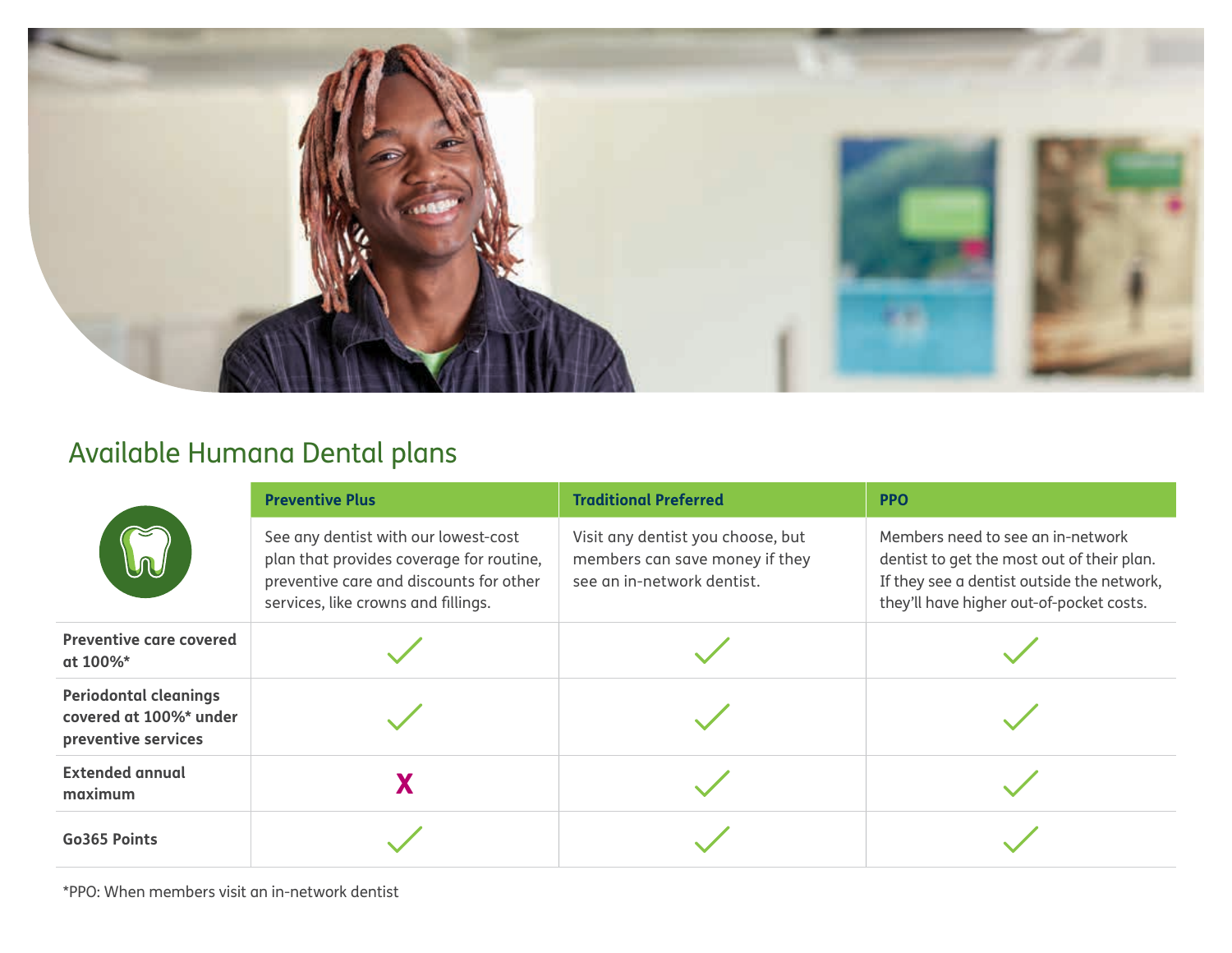

## Available Humana Dental plans

| M                                                                             | <b>Preventive Plus</b>                                                                                                                                             | <b>Traditional Preferred</b>                                                                      | <b>PPO</b>                                                                                                                                                                |
|-------------------------------------------------------------------------------|--------------------------------------------------------------------------------------------------------------------------------------------------------------------|---------------------------------------------------------------------------------------------------|---------------------------------------------------------------------------------------------------------------------------------------------------------------------------|
|                                                                               | See any dentist with our lowest-cost<br>plan that provides coverage for routine,<br>preventive care and discounts for other<br>services, like crowns and fillings. | Visit any dentist you choose, but<br>members can save money if they<br>see an in-network dentist. | Members need to see an in-network<br>dentist to get the most out of their plan.<br>If they see a dentist outside the network,<br>they'll have higher out-of-pocket costs. |
| <b>Preventive care covered</b><br>at 100%*                                    |                                                                                                                                                                    |                                                                                                   |                                                                                                                                                                           |
| <b>Periodontal cleanings</b><br>covered at 100%* under<br>preventive services |                                                                                                                                                                    |                                                                                                   |                                                                                                                                                                           |
| <b>Extended annual</b><br>maximum                                             |                                                                                                                                                                    |                                                                                                   |                                                                                                                                                                           |
| Go365 Points                                                                  |                                                                                                                                                                    |                                                                                                   |                                                                                                                                                                           |

\*PPO: When members visit an in-network dentist